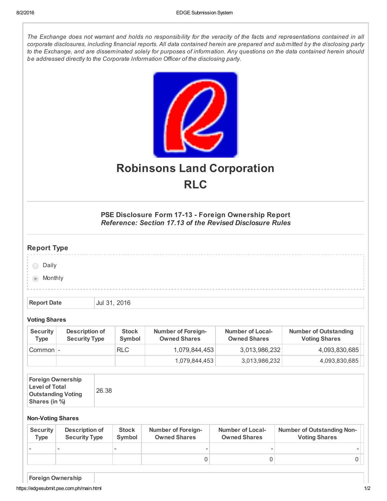The Exchange does not warrant and holds no responsibility for the veracity of the facts and representations contained in all corporate disclosures, including financial reports. All data contained herein are prepared and submitted by the disclosing party to the Exchange, and are disseminated solely for purposes of information. Any questions on the data contained herein should be addressed directly to the Corporate Information Officer of the disclosing party.



## Robinsons Land Corporation RLC

PSE Disclosure Form 17-13 - Foreign Ownership Report Reference: Section 17.13 of the Revised Disclosure Rules

## Report Type

|                   | -- |  |  |  |  |  |  |  |  |  |  |  |  |  |  |  |  |  |
|-------------------|----|--|--|--|--|--|--|--|--|--|--|--|--|--|--|--|--|--|
|                   |    |  |  |  |  |  |  |  |  |  |  |  |  |  |  |  |  |  |
|                   |    |  |  |  |  |  |  |  |  |  |  |  |  |  |  |  |  |  |
|                   |    |  |  |  |  |  |  |  |  |  |  |  |  |  |  |  |  |  |
| $\vdots$ Daily    |    |  |  |  |  |  |  |  |  |  |  |  |  |  |  |  |  |  |
|                   |    |  |  |  |  |  |  |  |  |  |  |  |  |  |  |  |  |  |
|                   |    |  |  |  |  |  |  |  |  |  |  |  |  |  |  |  |  |  |
|                   |    |  |  |  |  |  |  |  |  |  |  |  |  |  |  |  |  |  |
|                   |    |  |  |  |  |  |  |  |  |  |  |  |  |  |  |  |  |  |
| $\bullet$ Monthly |    |  |  |  |  |  |  |  |  |  |  |  |  |  |  |  |  |  |
|                   |    |  |  |  |  |  |  |  |  |  |  |  |  |  |  |  |  |  |
|                   |    |  |  |  |  |  |  |  |  |  |  |  |  |  |  |  |  |  |
|                   |    |  |  |  |  |  |  |  |  |  |  |  |  |  |  |  |  |  |
|                   |    |  |  |  |  |  |  |  |  |  |  |  |  |  |  |  |  |  |
|                   |    |  |  |  |  |  |  |  |  |  |  |  |  |  |  |  |  |  |
|                   |    |  |  |  |  |  |  |  |  |  |  |  |  |  |  |  |  |  |

Report Date Jul 31, 2016

## Voting Shares

| <b>Security</b><br>Type | Description of<br><b>Security Type</b> | <b>Stock</b><br>Symbol | <b>Number of Foreign-</b><br><b>Owned Shares</b> | <b>Number of Local-</b><br><b>Owned Shares</b> | <b>Number of Outstanding</b><br><b>Voting Shares</b> |
|-------------------------|----------------------------------------|------------------------|--------------------------------------------------|------------------------------------------------|------------------------------------------------------|
| Common -                |                                        | RLC                    | 1,079,844,453                                    | 3,013,986,232                                  | 4,093,830,685                                        |
|                         |                                        |                        | 1,079,844,453                                    | 3,013,986,232                                  | 4,093,830,685                                        |

| <b>Foreign Ownership</b><br><b>Level of Total</b><br><b>Outstanding Voting</b><br>Shares (in %) | 26.38 |
|-------------------------------------------------------------------------------------------------|-------|
|-------------------------------------------------------------------------------------------------|-------|

## Non-Voting Shares

| <b>Number of Outstanding Non-</b><br>Number of Local-<br><b>Voting Shares</b><br><b>Owned Shares</b> | <b>Number of Foreign-</b><br><b>Owned Shares</b> | <b>Stock</b><br>Symbol | Description of<br><b>Security Type</b> | <b>Security</b><br><b>Type</b> |
|------------------------------------------------------------------------------------------------------|--------------------------------------------------|------------------------|----------------------------------------|--------------------------------|
|                                                                                                      |                                                  |                        |                                        |                                |
|                                                                                                      |                                                  |                        |                                        |                                |

Foreign Ownership